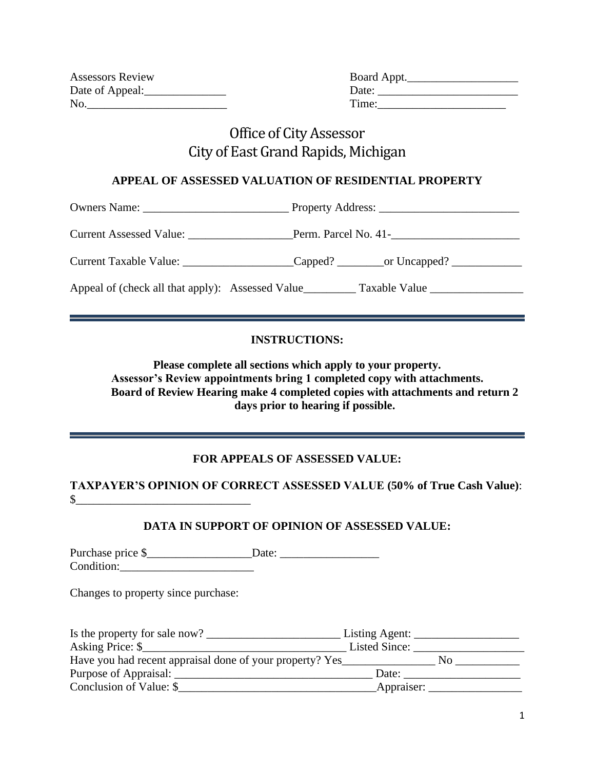| <b>Assessors Review</b> | Board Appt. |
|-------------------------|-------------|
| Date of Appeal:         | Date:       |
| No.                     | Time:       |

| Board Appt. |  |  |  |
|-------------|--|--|--|
| Date:       |  |  |  |
| Time:       |  |  |  |

# Office of City Assessor City of East Grand Rapids, Michigan

#### **APPEAL OF ASSESSED VALUATION OF RESIDENTIAL PROPERTY**

Owners Name: \_\_\_\_\_\_\_\_\_\_\_\_\_\_\_\_\_\_\_\_\_\_\_\_\_ Property Address: \_\_\_\_\_\_\_\_\_\_\_\_\_\_\_\_\_\_\_\_\_\_\_\_

Current Assessed Value: \_\_\_\_\_\_\_\_\_\_\_\_\_\_\_\_\_\_Perm. Parcel No. 41-\_\_\_\_\_\_\_\_\_\_\_\_\_\_\_\_\_\_\_\_\_\_

Current Taxable Value: \_\_\_\_\_\_\_\_\_\_\_\_\_\_\_\_\_\_\_Capped? \_\_\_\_\_\_\_\_\_or Uncapped? \_\_\_\_\_\_\_\_\_\_\_\_\_\_\_

Appeal of (check all that apply): Assessed Value \_\_\_\_\_\_\_\_\_ Taxable Value \_\_\_\_\_\_\_\_\_\_\_\_\_\_

#### **INSTRUCTIONS:**

**Please complete all sections which apply to your property. Assessor's Review appointments bring 1 completed copy with attachments. Board of Review Hearing make 4 completed copies with attachments and return 2 days prior to hearing if possible.**

<u> La Carlo de la Carlo de la Carlo de la Carlo de la Carlo de la Carlo de la Carlo de la Carlo de la Carlo de l</u>

### **FOR APPEALS OF ASSESSED VALUE:**

**TAXPAYER'S OPINION OF CORRECT ASSESSED VALUE (50% of True Cash Value)**:  $\mathbb{S}$ 

### **DATA IN SUPPORT OF OPINION OF ASSESSED VALUE:**

Purchase price \$ Condition:

Changes to property since purchase:

| Is the property for sale now?                            | Listing Agent: $\overline{\phantom{a}}$ |
|----------------------------------------------------------|-----------------------------------------|
| Asking Price: \$                                         | Listed Since:                           |
| Have you had recent appraisal done of your property? Yes | N٥                                      |
| Purpose of Appraisal:                                    | Date:                                   |
| Conclusion of Value: \$                                  | Appraiser:                              |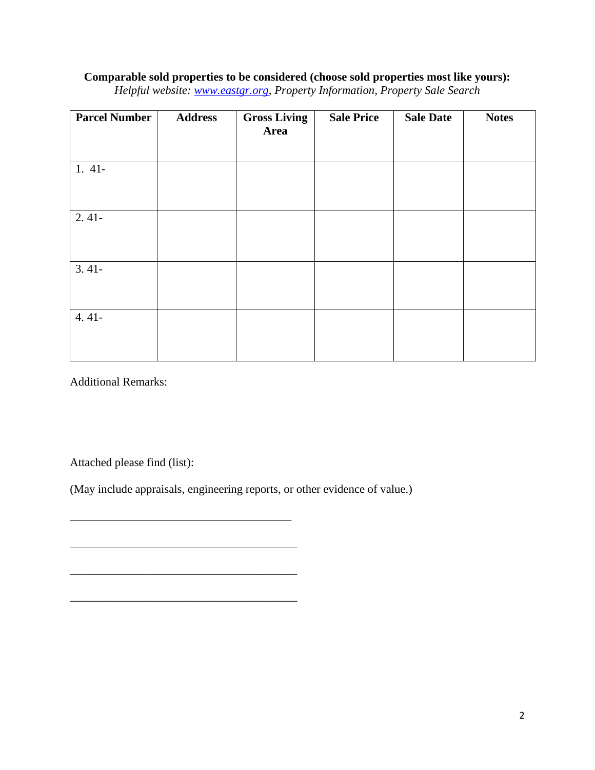## **Comparable sold properties to be considered (choose sold properties most like yours):**

|  | Helpful website: www.eastgr.org, Property Information, Property Sale Search |  |  |  |  |  |
|--|-----------------------------------------------------------------------------|--|--|--|--|--|
|--|-----------------------------------------------------------------------------|--|--|--|--|--|

| <b>Parcel Number</b> | <b>Address</b> | <b>Gross Living</b><br>Area | <b>Sale Price</b> | <b>Sale Date</b> | <b>Notes</b> |
|----------------------|----------------|-----------------------------|-------------------|------------------|--------------|
|                      |                |                             |                   |                  |              |
| $1.41-$              |                |                             |                   |                  |              |
| $2.41-$              |                |                             |                   |                  |              |
|                      |                |                             |                   |                  |              |
| $3.41-$              |                |                             |                   |                  |              |
| $4.41-$              |                |                             |                   |                  |              |

Additional Remarks:

Attached please find (list):

(May include appraisals, engineering reports, or other evidence of value.)

\_\_\_\_\_\_\_\_\_\_\_\_\_\_\_\_\_\_\_\_\_\_\_\_\_\_\_\_\_\_\_\_\_\_\_\_\_\_

\_\_\_\_\_\_\_\_\_\_\_\_\_\_\_\_\_\_\_\_\_\_\_\_\_\_\_\_\_\_\_\_\_\_\_\_\_\_\_

 $\mathcal{L}_\text{max}$  and  $\mathcal{L}_\text{max}$  and  $\mathcal{L}_\text{max}$  and  $\mathcal{L}_\text{max}$  and  $\mathcal{L}_\text{max}$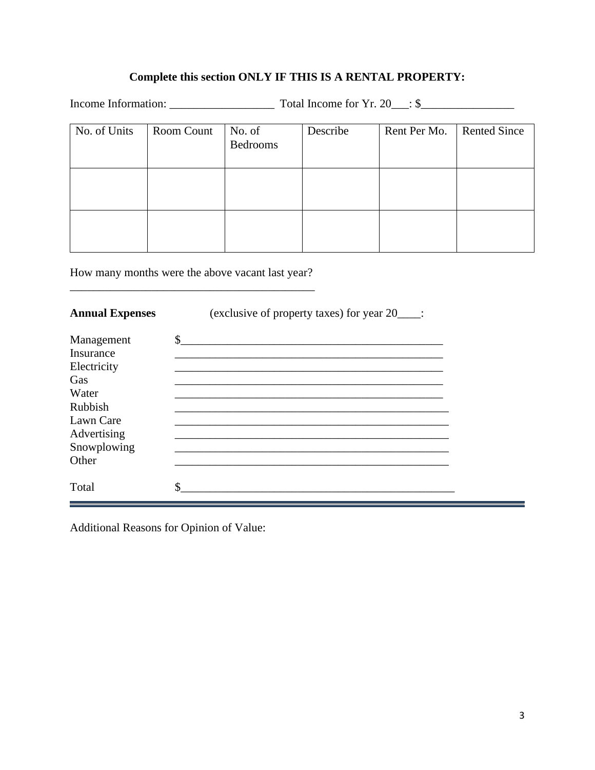## **Complete this section ONLY IF THIS IS A RENTAL PROPERTY:**

Income Information: \_\_\_\_\_\_\_\_\_\_\_\_\_\_\_\_\_\_ Total Income for Yr. 20\_\_\_: \$\_\_\_\_\_\_\_\_\_\_\_\_\_\_\_\_

| No. of Units | Room Count | No. of<br><b>Bedrooms</b> | Describe | Rent Per Mo. | <b>Rented Since</b> |
|--------------|------------|---------------------------|----------|--------------|---------------------|
|              |            |                           |          |              |                     |
|              |            |                           |          |              |                     |

How many months were the above vacant last year? \_\_\_\_\_\_\_\_\_\_\_\_\_\_\_\_\_\_\_\_\_\_\_\_\_\_\_\_\_\_\_\_\_\_\_\_\_\_\_\_\_\_

| <b>Annual Expenses</b> | (exclusive of property taxes) for year 20_____: |
|------------------------|-------------------------------------------------|
| Management             | \$                                              |
| Insurance              |                                                 |
| Electricity            |                                                 |
| Gas                    |                                                 |
| Water                  |                                                 |
| Rubbish                |                                                 |
| Lawn Care              |                                                 |
| Advertising            |                                                 |
| Snowplowing            |                                                 |
| Other                  |                                                 |
| Total                  | Φ                                               |

Additional Reasons for Opinion of Value: